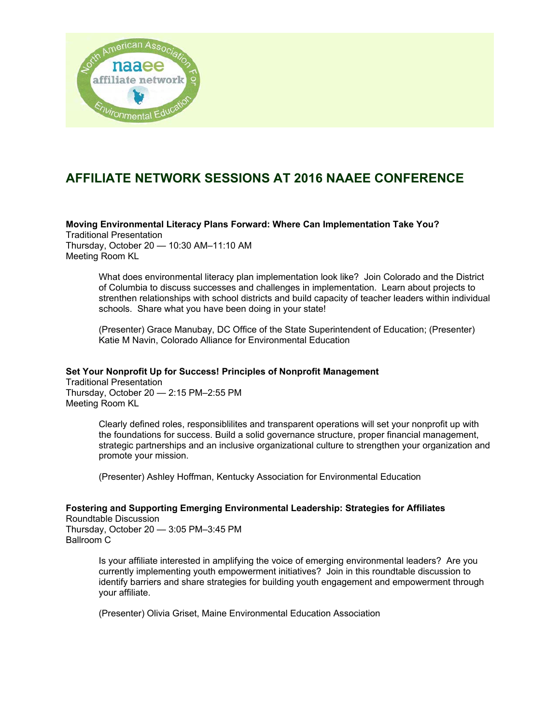

# **AFFILIATE NETWORK SESSIONS AT 2016 NAAEE CONFERENCE**

**Moving Environmental Literacy Plans Forward: Where Can Implementation Take You?** 

Traditional Presentation Thursday, October 20 — 10:30 AM–11:10 AM Meeting Room KL

> What does environmental literacy plan implementation look like? Join Colorado and the District of Columbia to discuss successes and challenges in implementation. Learn about projects to strenthen relationships with school districts and build capacity of teacher leaders within individual schools. Share what you have been doing in your state!

(Presenter) Grace Manubay, DC Office of the State Superintendent of Education; (Presenter) Katie M Navin, Colorado Alliance for Environmental Education

## **Set Your Nonprofit Up for Success! Principles of Nonprofit Management**

Traditional Presentation Thursday, October 20 — 2:15 PM–2:55 PM Meeting Room KL

> Clearly defined roles, responsiblilites and transparent operations will set your nonprofit up with the foundations for success. Build a solid governance structure, proper financial management, strategic partnerships and an inclusive organizational culture to strengthen your organization and promote your mission.

(Presenter) Ashley Hoffman, Kentucky Association for Environmental Education

## **Fostering and Supporting Emerging Environmental Leadership: Strategies for Affiliates**  Roundtable Discussion

Thursday, October 20 — 3:05 PM–3:45 PM Ballroom C

> Is your affiliate interested in amplifying the voice of emerging environmental leaders? Are you currently implementing youth empowerment initiatives? Join in this roundtable discussion to identify barriers and share strategies for building youth engagement and empowerment through your affiliate.

(Presenter) Olivia Griset, Maine Environmental Education Association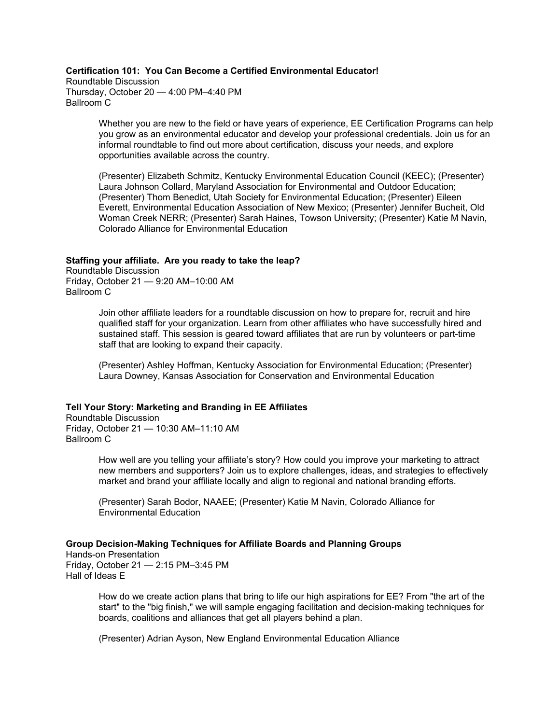## **Certification 101: You Can Become a Certified Environmental Educator!**

Roundtable Discussion Thursday, October 20 — 4:00 PM–4:40 PM Ballroom C

> Whether you are new to the field or have years of experience, EE Certification Programs can help you grow as an environmental educator and develop your professional credentials. Join us for an informal roundtable to find out more about certification, discuss your needs, and explore opportunities available across the country.

(Presenter) Elizabeth Schmitz, Kentucky Environmental Education Council (KEEC); (Presenter) Laura Johnson Collard, Maryland Association for Environmental and Outdoor Education; (Presenter) Thom Benedict, Utah Society for Environmental Education; (Presenter) Eileen Everett, Environmental Education Association of New Mexico; (Presenter) Jennifer Bucheit, Old Woman Creek NERR; (Presenter) Sarah Haines, Towson University; (Presenter) Katie M Navin, Colorado Alliance for Environmental Education

#### **Staffing your affiliate. Are you ready to take the leap?**

Roundtable Discussion Friday, October 21 — 9:20 AM–10:00 AM Ballroom C

> Join other affiliate leaders for a roundtable discussion on how to prepare for, recruit and hire qualified staff for your organization. Learn from other affiliates who have successfully hired and sustained staff. This session is geared toward affiliates that are run by volunteers or part-time staff that are looking to expand their capacity.

(Presenter) Ashley Hoffman, Kentucky Association for Environmental Education; (Presenter) Laura Downey, Kansas Association for Conservation and Environmental Education

## **Tell Your Story: Marketing and Branding in EE Affiliates**

Roundtable Discussion Friday, October 21 — 10:30 AM–11:10 AM Ballroom C

> How well are you telling your affiliate's story? How could you improve your marketing to attract new members and supporters? Join us to explore challenges, ideas, and strategies to effectively market and brand your affiliate locally and align to regional and national branding efforts.

(Presenter) Sarah Bodor, NAAEE; (Presenter) Katie M Navin, Colorado Alliance for Environmental Education

## **Group Decision-Making Techniques for Affiliate Boards and Planning Groups**

Hands-on Presentation Friday, October 21 — 2:15 PM–3:45 PM Hall of Ideas E

> How do we create action plans that bring to life our high aspirations for EE? From "the art of the start" to the "big finish," we will sample engaging facilitation and decision-making techniques for boards, coalitions and alliances that get all players behind a plan.

(Presenter) Adrian Ayson, New England Environmental Education Alliance